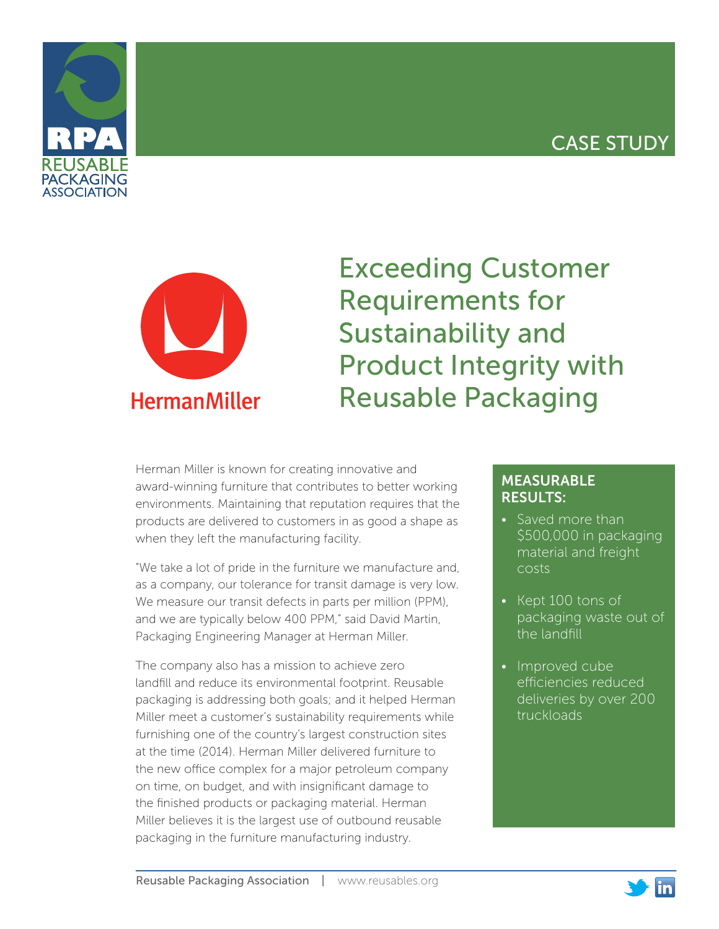# CASE STUDY





# Exceeding Customer Requirements for Sustainability and Product Integrity with Reusable Packaging

Herman Miller is known for creating innovative and award-winning furniture that contributes to better working environments. Maintaining that reputation requires that the products are delivered to customers in as good a shape as when they left the manufacturing facility.

"We take a lot of pride in the furniture we manufacture and, as a company, our tolerance for transit damage is very low. We measure our transit defects in parts per million (PPM), and we are typically below 400 PPM," said David Martin, Packaging Engineering Manager at Herman Miller.

The company also has a mission to achieve zero landfill and reduce its environmental footprint. Reusable packaging is addressing both goals; and it helped Herman Miller meet a customer's sustainability requirements while furnishing one of the country's largest construction sites at the time (2014). Herman Miller delivered furniture to the new office complex for a major petroleum company on time, on budget, and with insignificant damage to the finished products or packaging material. Herman Miller believes it is the largest use of outbound reusable packaging in the furniture manufacturing industry.

## MEASURABLE RESULTS:

- Saved more than \$500,000 in packaging material and freight costs
- Kept 100 tons of packaging waste out of the landfill
- Improved cube efficiencies reduced deliveries by over 200 truckloads

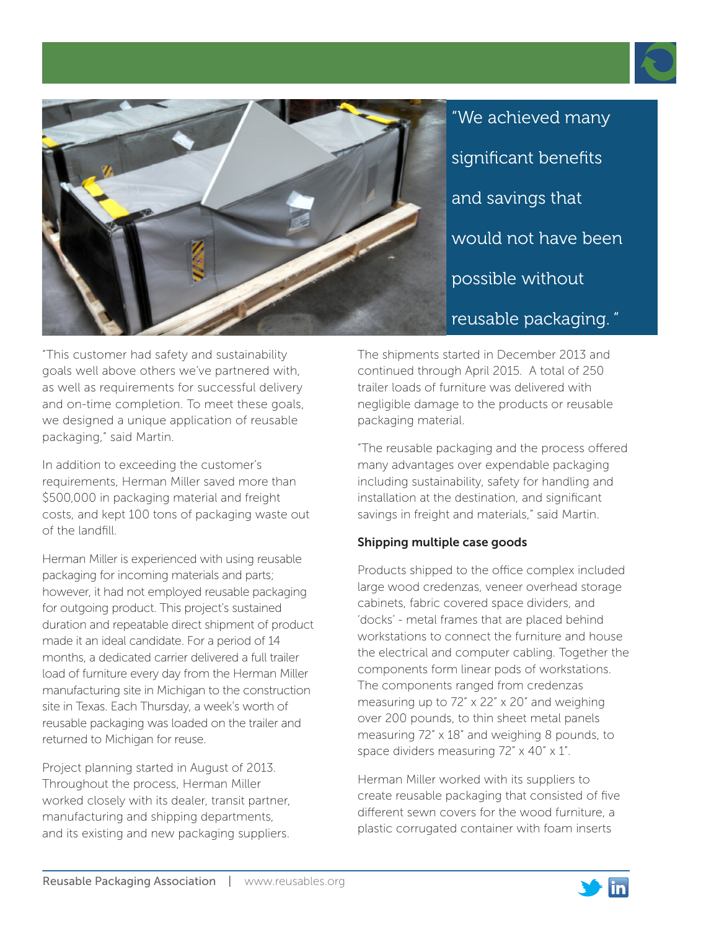

"We achieved many significant benefits and savings that would not have been possible without reusable packaging. "

"This customer had safety and sustainability goals well above others we've partnered with, as well as requirements for successful delivery and on-time completion. To meet these goals, we designed a unique application of reusable packaging," said Martin.

In addition to exceeding the customer's requirements, Herman Miller saved more than \$500,000 in packaging material and freight costs, and kept 100 tons of packaging waste out of the landfill.

Herman Miller is experienced with using reusable packaging for incoming materials and parts; however, it had not employed reusable packaging for outgoing product. This project's sustained duration and repeatable direct shipment of product made it an ideal candidate. For a period of 14 months, a dedicated carrier delivered a full trailer load of furniture every day from the Herman Miller manufacturing site in Michigan to the construction site in Texas. Each Thursday, a week's worth of reusable packaging was loaded on the trailer and returned to Michigan for reuse.

Project planning started in August of 2013. Throughout the process, Herman Miller worked closely with its dealer, transit partner, manufacturing and shipping departments, and its existing and new packaging suppliers.

The shipments started in December 2013 and continued through April 2015. A total of 250 trailer loads of furniture was delivered with negligible damage to the products or reusable packaging material.

"The reusable packaging and the process offered many advantages over expendable packaging including sustainability, safety for handling and installation at the destination, and significant savings in freight and materials," said Martin.

# Shipping multiple case goods

Products shipped to the office complex included large wood credenzas, veneer overhead storage cabinets, fabric covered space dividers, and 'docks' - metal frames that are placed behind workstations to connect the furniture and house the electrical and computer cabling. Together the components form linear pods of workstations. The components ranged from credenzas measuring up to 72" x 22" x 20" and weighing over 200 pounds, to thin sheet metal panels measuring 72" x 18" and weighing 8 pounds, to space dividers measuring 72" x 40" x 1".

Herman Miller worked with its suppliers to create reusable packaging that consisted of five different sewn covers for the wood furniture, a plastic corrugated container with foam inserts

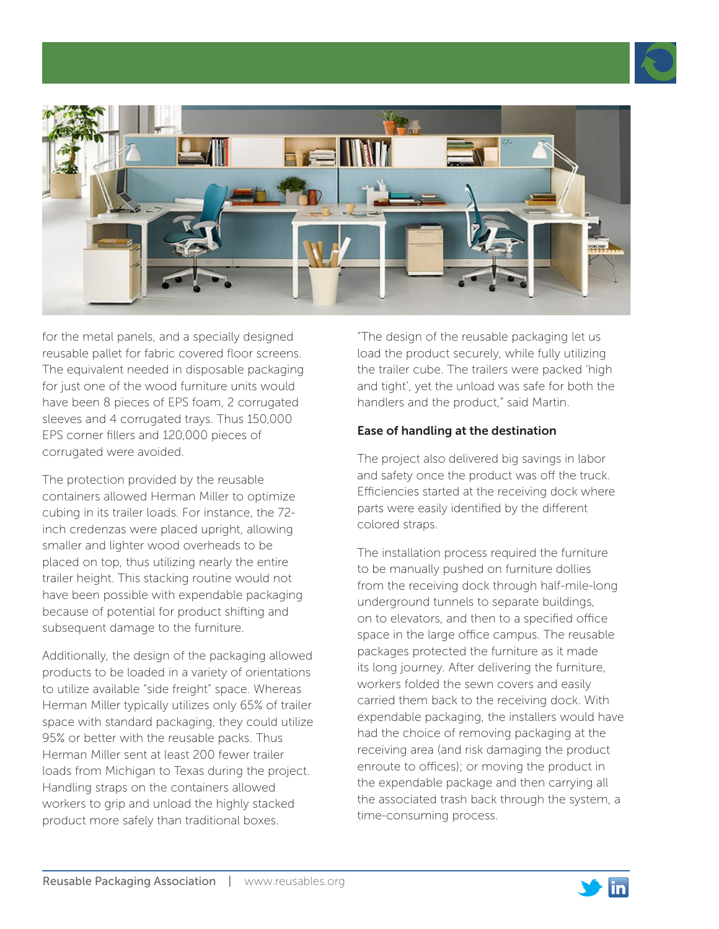



for the metal panels, and a specially designed reusable pallet for fabric covered floor screens. The equivalent needed in disposable packaging for just one of the wood furniture units would have been 8 pieces of EPS foam, 2 corrugated sleeves and 4 corrugated trays. Thus 150,000 EPS corner fillers and 120,000 pieces of corrugated were avoided.

The protection provided by the reusable containers allowed Herman Miller to optimize cubing in its trailer loads. For instance, the 72 inch credenzas were placed upright, allowing smaller and lighter wood overheads to be placed on top, thus utilizing nearly the entire trailer height. This stacking routine would not have been possible with expendable packaging because of potential for product shifting and subsequent damage to the furniture.

Additionally, the design of the packaging allowed products to be loaded in a variety of orientations to utilize available "side freight" space. Whereas Herman Miller typically utilizes only 65% of trailer space with standard packaging, they could utilize 95% or better with the reusable packs. Thus Herman Miller sent at least 200 fewer trailer loads from Michigan to Texas during the project. Handling straps on the containers allowed workers to grip and unload the highly stacked product more safely than traditional boxes.

"The design of the reusable packaging let us load the product securely, while fully utilizing the trailer cube. The trailers were packed 'high and tight', yet the unload was safe for both the handlers and the product," said Martin.

### Ease of handling at the destination

The project also delivered big savings in labor and safety once the product was off the truck. Efficiencies started at the receiving dock where parts were easily identified by the different colored straps.

The installation process required the furniture to be manually pushed on furniture dollies from the receiving dock through half-mile-long underground tunnels to separate buildings, on to elevators, and then to a specified office space in the large office campus. The reusable packages protected the furniture as it made its long journey. After delivering the furniture, workers folded the sewn covers and easily carried them back to the receiving dock. With expendable packaging, the installers would have had the choice of removing packaging at the receiving area (and risk damaging the product enroute to offices); or moving the product in the expendable package and then carrying all the associated trash back through the system, a time-consuming process.